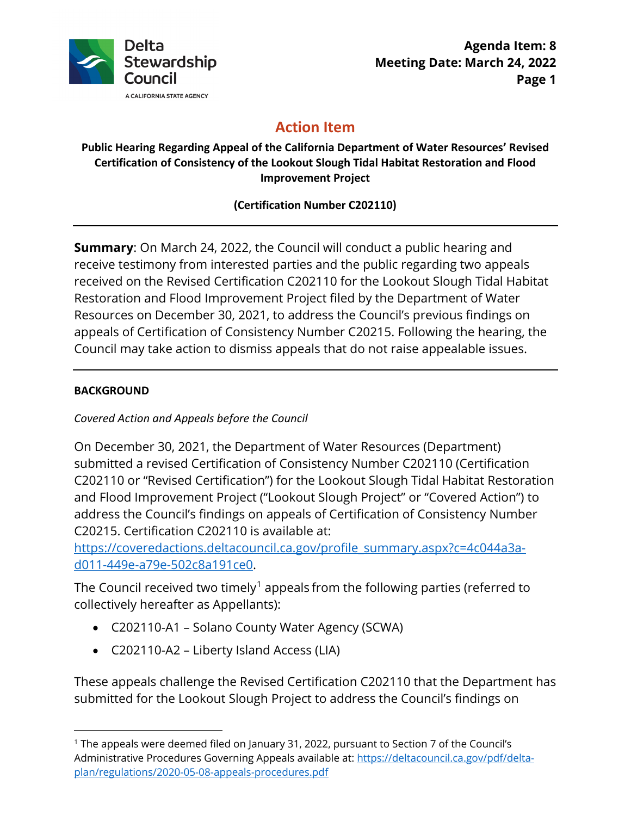

# **Action Item**

#### **Public Hearing Regarding Appeal of the California Department of Water Resources' Revised Certification of Consistency of the Lookout Slough Tidal Habitat Restoration and Flood Improvement Project**

## **(Certification Number C202110)**

**Summary**: On March 24, 2022, the Council will conduct a public hearing and receive testimony from interested parties and the public regarding two appeals received on the Revised Certification C202110 for the Lookout Slough Tidal Habitat Restoration and Flood Improvement Project filed by the Department of Water Resources on December 30, 2021, to address the Council's previous findings on appeals of Certification of Consistency Number C20215. Following the hearing, the Council may take action to dismiss appeals that do not raise appealable issues.

#### **BACKGROUND**

## *Covered Action and Appeals before the Council*

On December 30, 2021, the Department of Water Resources (Department) submitted a revised Certification of Consistency Number C202110 (Certification C202110 or "Revised Certification") for the Lookout Slough Tidal Habitat Restoration and Flood Improvement Project ("Lookout Slough Project" or "Covered Action") to address the Council's findings on appeals of Certification of Consistency Number C20215. Certification C202110 is available at:

[https://coveredactions.deltacouncil.ca.gov/profile\\_summary.aspx?c=4c044a3a](https://coveredactions.deltacouncil.ca.gov/profile_summary.aspx?c=4c044a3a-d011-449e-a79e-502c8a191ce0)[d011-449e-a79e-502c8a191ce0.](https://coveredactions.deltacouncil.ca.gov/profile_summary.aspx?c=4c044a3a-d011-449e-a79e-502c8a191ce0)

The Council received two timely<sup>[1](#page-0-0)</sup> appeals from the following parties (referred to collectively hereafter as Appellants):

- C202110-A1 Solano County Water Agency (SCWA)
- C202110-A2 Liberty Island Access (LIA)

These appeals challenge the Revised Certification C202110 that the Department has submitted for the Lookout Slough Project to address the Council's findings on

<span id="page-0-0"></span><sup>1</sup> The appeals were deemed filed on January 31, 2022, pursuant to Section 7 of the Council's Administrative Procedures Governing Appeals available at: [https://deltacouncil.ca.gov/pdf/delta](https://deltacouncil.ca.gov/pdf/delta-plan/regulations/2020-05-08-appeals-procedures.pdf)[plan/regulations/2020-05-08-appeals-procedures.pdf](https://deltacouncil.ca.gov/pdf/delta-plan/regulations/2020-05-08-appeals-procedures.pdf)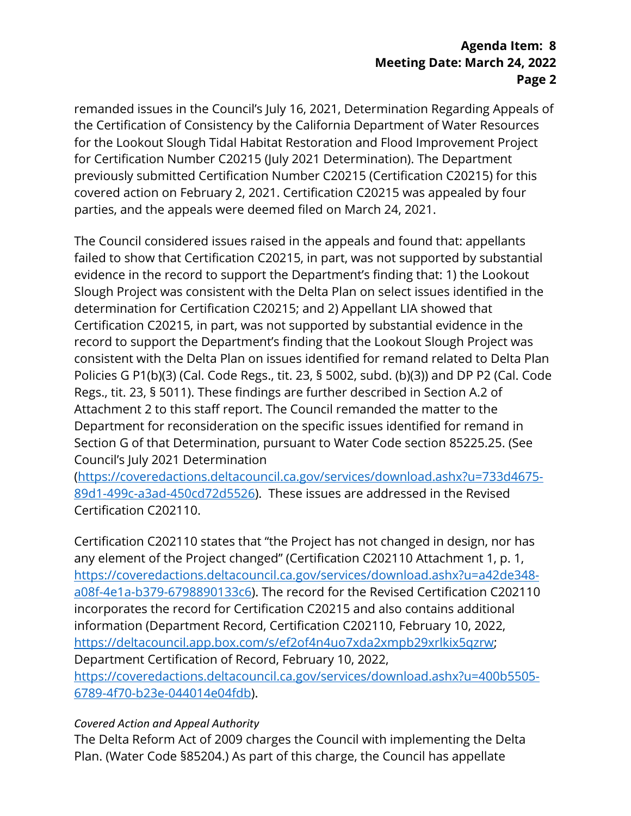remanded issues in the Council's July 16, 2021, Determination Regarding Appeals of the Certification of Consistency by the California Department of Water Resources for the Lookout Slough Tidal Habitat Restoration and Flood Improvement Project for Certification Number C20215 (July 2021 Determination). The Department previously submitted Certification Number C20215 (Certification C20215) for this covered action on February 2, 2021. Certification C20215 was appealed by four parties, and the appeals were deemed filed on March 24, 2021.

The Council considered issues raised in the appeals and found that: appellants failed to show that Certification C20215, in part, was not supported by substantial evidence in the record to support the Department's finding that: 1) the Lookout Slough Project was consistent with the Delta Plan on select issues identified in the determination for Certification C20215; and 2) Appellant LIA showed that Certification C20215, in part, was not supported by substantial evidence in the record to support the Department's finding that the Lookout Slough Project was consistent with the Delta Plan on issues identified for remand related to Delta Plan Policies G P1(b)(3) (Cal. Code Regs., tit. 23, § 5002, subd. (b)(3)) and DP P2 (Cal. Code Regs., tit. 23, § 5011). These findings are further described in Section A.2 of Attachment 2 to this staff report. The Council remanded the matter to the Department for reconsideration on the specific issues identified for remand in Section G of that Determination, pursuant to Water Code section 85225.25. (See Council's July 2021 Determination

[\(https://coveredactions.deltacouncil.ca.gov/services/download.ashx?u=733d4675-](https://coveredactions.deltacouncil.ca.gov/services/download.ashx?u=733d4675-89d1-499c-a3ad-450cd72d5526) [89d1-499c-a3ad-450cd72d5526\)](https://coveredactions.deltacouncil.ca.gov/services/download.ashx?u=733d4675-89d1-499c-a3ad-450cd72d5526). These issues are addressed in the Revised Certification C202110.

Certification C202110 states that "the Project has not changed in design, nor has any element of the Project changed" (Certification C202110 Attachment 1, p. 1, [https://coveredactions.deltacouncil.ca.gov/services/download.ashx?u=a42de348](https://coveredactions.deltacouncil.ca.gov/services/download.ashx?u=a42de348-a08f-4e1a-b379-6798890133c6) [a08f-4e1a-b379-6798890133c6\)](https://coveredactions.deltacouncil.ca.gov/services/download.ashx?u=a42de348-a08f-4e1a-b379-6798890133c6). The record for the Revised Certification C202110 incorporates the record for Certification C20215 and also contains additional information (Department Record, Certification C202110, February 10, 2022, [https://deltacouncil.app.box.com/s/ef2of4n4uo7xda2xmpb29xrlkix5qzrw;](https://deltacouncil.app.box.com/s/ef2of4n4uo7xda2xmpb29xrlkix5qzrw) Department Certification of Record, February 10, 2022, [https://coveredactions.deltacouncil.ca.gov/services/download.ashx?u=400b5505-](https://coveredactions.deltacouncil.ca.gov/services/download.ashx?u=400b5505-6789-4f70-b23e-044014e04fdb) [6789-4f70-b23e-044014e04fdb\)](https://coveredactions.deltacouncil.ca.gov/services/download.ashx?u=400b5505-6789-4f70-b23e-044014e04fdb).

#### *Covered Action and Appeal Authority*

The Delta Reform Act of 2009 charges the Council with implementing the Delta Plan. (Water Code §85204.) As part of this charge, the Council has appellate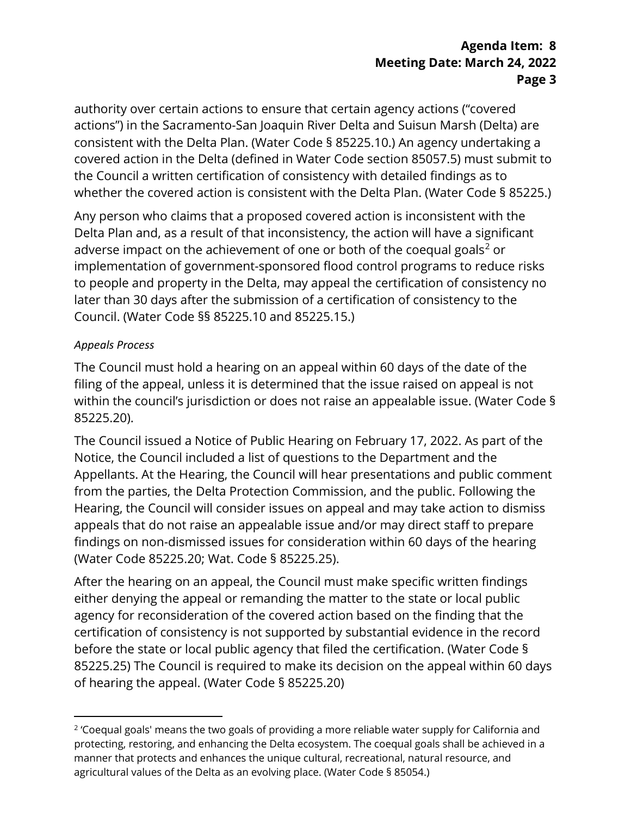authority over certain actions to ensure that certain agency actions ("covered actions") in the Sacramento-San Joaquin River Delta and Suisun Marsh (Delta) are consistent with the Delta Plan. (Water Code § 85225.10.) An agency undertaking a covered action in the Delta (defined in Water Code section 85057.5) must submit to the Council a written certification of consistency with detailed findings as to whether the covered action is consistent with the Delta Plan. (Water Code § 85225.)

Any person who claims that a proposed covered action is inconsistent with the Delta Plan and, as a result of that inconsistency, the action will have a significant adverse impact on the achievement of one or both of the coequal goals<sup>[2](#page-2-0)</sup> or implementation of government-sponsored flood control programs to reduce risks to people and property in the Delta, may appeal the certification of consistency no later than 30 days after the submission of a certification of consistency to the Council. (Water Code §§ 85225.10 and 85225.15.)

#### *Appeals Process*

The Council must hold a hearing on an appeal within 60 days of the date of the filing of the appeal, unless it is determined that the issue raised on appeal is not within the council's jurisdiction or does not raise an appealable issue. (Water Code § 85225.20).

The Council issued a Notice of Public Hearing on February 17, 2022. As part of the Notice, the Council included a list of questions to the Department and the Appellants. At the Hearing, the Council will hear presentations and public comment from the parties, the Delta Protection Commission, and the public. Following the Hearing, the Council will consider issues on appeal and may take action to dismiss appeals that do not raise an appealable issue and/or may direct staff to prepare findings on non-dismissed issues for consideration within 60 days of the hearing (Water Code 85225.20; Wat. Code § 85225.25).

After the hearing on an appeal, the Council must make specific written findings either denying the appeal or remanding the matter to the state or local public agency for reconsideration of the covered action based on the finding that the certification of consistency is not supported by substantial evidence in the record before the state or local public agency that filed the certification. (Water Code § 85225.25) The Council is required to make its decision on the appeal within 60 days of hearing the appeal. (Water Code § 85225.20)

<span id="page-2-0"></span><sup>&</sup>lt;sup>2</sup> 'Coequal goals' means the two goals of providing a more reliable water supply for California and protecting, restoring, and enhancing the Delta ecosystem. The coequal goals shall be achieved in a manner that protects and enhances the unique cultural, recreational, natural resource, and agricultural values of the Delta as an evolving place. (Water Code § 85054.)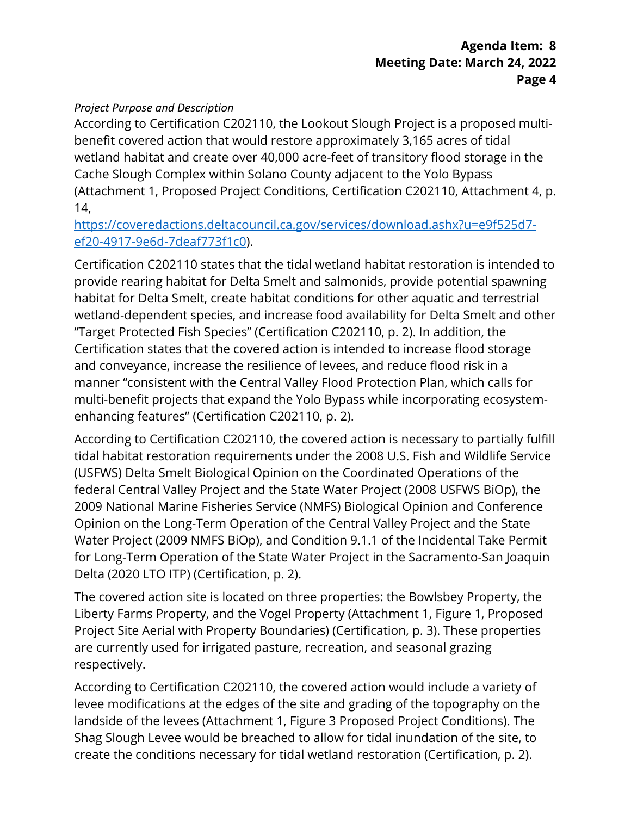#### *Project Purpose and Description*

According to Certification C202110, the Lookout Slough Project is a proposed multibenefit covered action that would restore approximately 3,165 acres of tidal wetland habitat and create over 40,000 acre-feet of transitory flood storage in the Cache Slough Complex within Solano County adjacent to the Yolo Bypass (Attachment 1, Proposed Project Conditions, Certification C202110, Attachment 4, p. 14,

[https://coveredactions.deltacouncil.ca.gov/services/download.ashx?u=e9f525d7](https://coveredactions.deltacouncil.ca.gov/services/download.ashx?u=e9f525d7-ef20-4917-9e6d-7deaf773f1c0) [ef20-4917-9e6d-7deaf773f1c0\)](https://coveredactions.deltacouncil.ca.gov/services/download.ashx?u=e9f525d7-ef20-4917-9e6d-7deaf773f1c0).

Certification C202110 states that the tidal wetland habitat restoration is intended to provide rearing habitat for Delta Smelt and salmonids, provide potential spawning habitat for Delta Smelt, create habitat conditions for other aquatic and terrestrial wetland-dependent species, and increase food availability for Delta Smelt and other "Target Protected Fish Species" (Certification C202110, p. 2). In addition, the Certification states that the covered action is intended to increase flood storage and conveyance, increase the resilience of levees, and reduce flood risk in a manner "consistent with the Central Valley Flood Protection Plan, which calls for multi-benefit projects that expand the Yolo Bypass while incorporating ecosystemenhancing features" (Certification C202110, p. 2).

According to Certification C202110, the covered action is necessary to partially fulfill tidal habitat restoration requirements under the 2008 U.S. Fish and Wildlife Service (USFWS) Delta Smelt Biological Opinion on the Coordinated Operations of the federal Central Valley Project and the State Water Project (2008 USFWS BiOp), the 2009 National Marine Fisheries Service (NMFS) Biological Opinion and Conference Opinion on the Long-Term Operation of the Central Valley Project and the State Water Project (2009 NMFS BiOp), and Condition 9.1.1 of the Incidental Take Permit for Long-Term Operation of the State Water Project in the Sacramento-San Joaquin Delta (2020 LTO ITP) (Certification, p. 2).

The covered action site is located on three properties: the Bowlsbey Property, the Liberty Farms Property, and the Vogel Property (Attachment 1, Figure 1, Proposed Project Site Aerial with Property Boundaries) (Certification, p. 3). These properties are currently used for irrigated pasture, recreation, and seasonal grazing respectively.

According to Certification C202110, the covered action would include a variety of levee modifications at the edges of the site and grading of the topography on the landside of the levees (Attachment 1, Figure 3 Proposed Project Conditions). The Shag Slough Levee would be breached to allow for tidal inundation of the site, to create the conditions necessary for tidal wetland restoration (Certification, p. 2).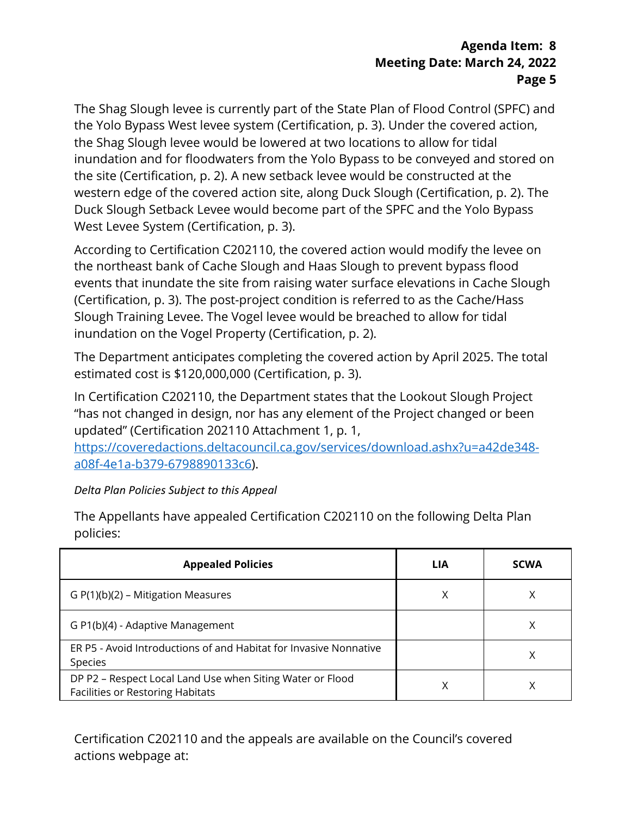The Shag Slough levee is currently part of the State Plan of Flood Control (SPFC) and the Yolo Bypass West levee system (Certification, p. 3). Under the covered action, the Shag Slough levee would be lowered at two locations to allow for tidal inundation and for floodwaters from the Yolo Bypass to be conveyed and stored on the site (Certification, p. 2). A new setback levee would be constructed at the western edge of the covered action site, along Duck Slough (Certification, p. 2). The Duck Slough Setback Levee would become part of the SPFC and the Yolo Bypass West Levee System (Certification, p. 3).

According to Certification C202110, the covered action would modify the levee on the northeast bank of Cache Slough and Haas Slough to prevent bypass flood events that inundate the site from raising water surface elevations in Cache Slough (Certification, p. 3). The post-project condition is referred to as the Cache/Hass Slough Training Levee. The Vogel levee would be breached to allow for tidal inundation on the Vogel Property (Certification, p. 2).

The Department anticipates completing the covered action by April 2025. The total estimated cost is \$120,000,000 (Certification, p. 3).

In Certification C202110, the Department states that the Lookout Slough Project "has not changed in design, nor has any element of the Project changed or been updated" (Certification 202110 Attachment 1, p. 1,

[https://coveredactions.deltacouncil.ca.gov/services/download.ashx?u=a42de348](https://coveredactions.deltacouncil.ca.gov/services/download.ashx?u=a42de348-a08f-4e1a-b379-6798890133c6) [a08f-4e1a-b379-6798890133c6\)](https://coveredactions.deltacouncil.ca.gov/services/download.ashx?u=a42de348-a08f-4e1a-b379-6798890133c6).

## *Delta Plan Policies Subject to this Appeal*

The Appellants have appealed Certification C202110 on the following Delta Plan policies:

| <b>Appealed Policies</b>                                                                             | LIA | <b>SCWA</b> |
|------------------------------------------------------------------------------------------------------|-----|-------------|
| $G P(1)(b)(2) - Mitigation Measures$                                                                 | Χ   |             |
| G P1(b)(4) - Adaptive Management                                                                     |     |             |
| ER P5 - Avoid Introductions of and Habitat for Invasive Nonnative<br><b>Species</b>                  |     |             |
| DP P2 – Respect Local Land Use when Siting Water or Flood<br><b>Facilities or Restoring Habitats</b> | X   |             |

Certification C202110 and the appeals are available on the Council's covered actions webpage at: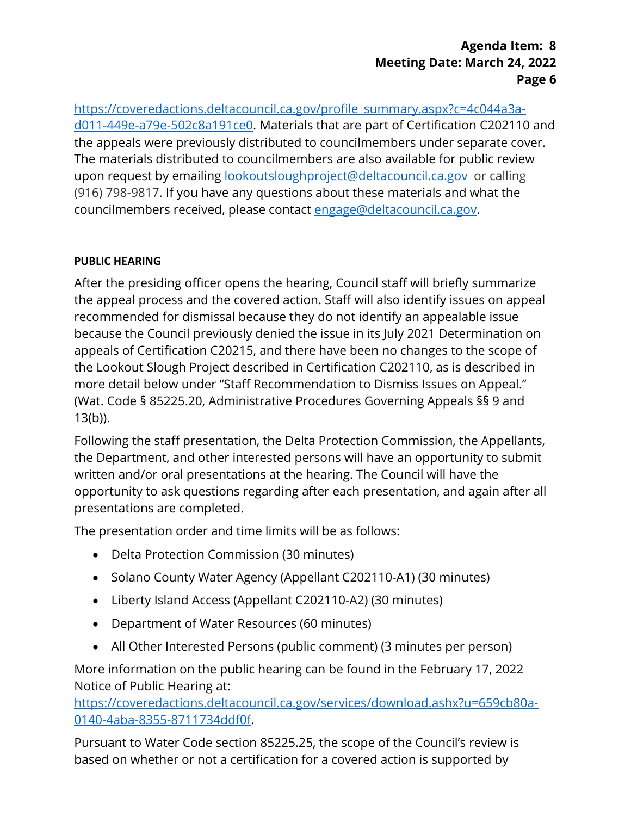[https://coveredactions.deltacouncil.ca.gov/profile\\_summary.aspx?c=4c044a3a](https://coveredactions.deltacouncil.ca.gov/profile_summary.aspx?c=4c044a3a-d011-449e-a79e-502c8a191ce0)[d011-449e-a79e-502c8a191ce0.](https://coveredactions.deltacouncil.ca.gov/profile_summary.aspx?c=4c044a3a-d011-449e-a79e-502c8a191ce0) Materials that are part of Certification C202110 and the appeals were previously distributed to councilmembers under separate cover. The materials distributed to councilmembers are also available for public review upon request by emailing [lookoutsloughproject@deltacouncil.ca.gov](mailto:lookoutsloughproject@deltacouncil.ca.gov) or calling (916) 798-9817. If you have any questions about these materials and what the councilmembers received, please contact [engage@deltacouncil.ca.gov.](mailto:engage@deltacouncil.ca.gov)

## **PUBLIC HEARING**

After the presiding officer opens the hearing, Council staff will briefly summarize the appeal process and the covered action. Staff will also identify issues on appeal recommended for dismissal because they do not identify an appealable issue because the Council previously denied the issue in its July 2021 Determination on appeals of Certification C20215, and there have been no changes to the scope of the Lookout Slough Project described in Certification C202110, as is described in more detail below under "Staff Recommendation to Dismiss Issues on Appeal." (Wat. Code § 85225.20, Administrative Procedures Governing Appeals §§ 9 and 13(b)).

Following the staff presentation, the Delta Protection Commission, the Appellants, the Department, and other interested persons will have an opportunity to submit written and/or oral presentations at the hearing. The Council will have the opportunity to ask questions regarding after each presentation, and again after all presentations are completed.

The presentation order and time limits will be as follows:

- Delta Protection Commission (30 minutes)
- Solano County Water Agency (Appellant C202110-A1) (30 minutes)
- Liberty Island Access (Appellant C202110-A2) (30 minutes)
- Department of Water Resources (60 minutes)
- All Other Interested Persons (public comment) (3 minutes per person)

More information on the public hearing can be found in the February 17, 2022 Notice of Public Hearing at:

[https://coveredactions.deltacouncil.ca.gov/services/download.ashx?u=659cb80a-](https://coveredactions.deltacouncil.ca.gov/services/download.ashx?u=659cb80a-0140-4aba-8355-8711734ddf0f)[0140-4aba-8355-8711734ddf0f.](https://coveredactions.deltacouncil.ca.gov/services/download.ashx?u=659cb80a-0140-4aba-8355-8711734ddf0f)

Pursuant to Water Code section 85225.25, the scope of the Council's review is based on whether or not a certification for a covered action is supported by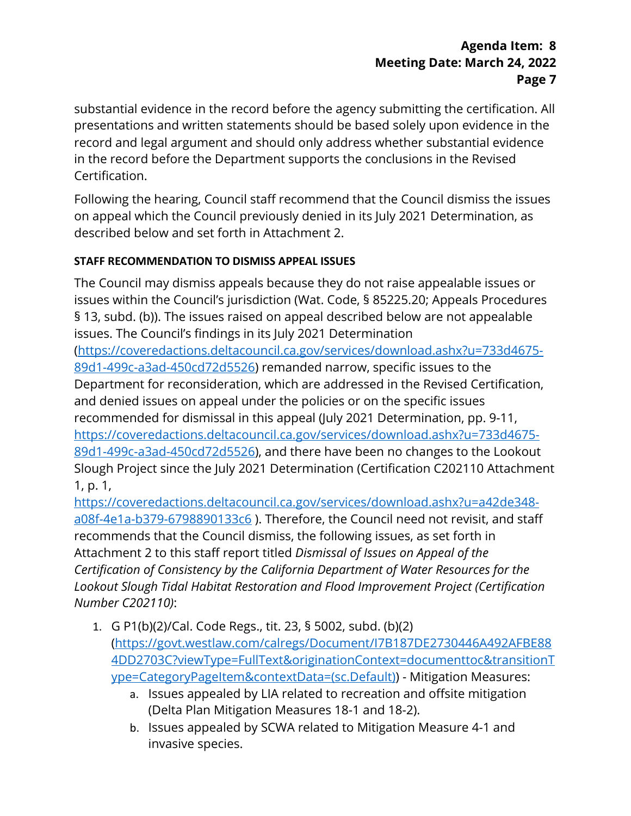substantial evidence in the record before the agency submitting the certification. All presentations and written statements should be based solely upon evidence in the record and legal argument and should only address whether substantial evidence in the record before the Department supports the conclusions in the Revised Certification.

Following the hearing, Council staff recommend that the Council dismiss the issues on appeal which the Council previously denied in its July 2021 Determination, as described below and set forth in Attachment 2.

## **STAFF RECOMMENDATION TO DISMISS APPEAL ISSUES**

The Council may dismiss appeals because they do not raise appealable issues or issues within the Council's jurisdiction (Wat. Code, § 85225.20; Appeals Procedures § 13, subd. (b)). The issues raised on appeal described below are not appealable issues. The Council's findings in its [July 2021 Determination](https://coveredactions.deltacouncil.ca.gov/services/download.ashx?u=733d4675-89d1-499c-a3ad-450cd72d5526) [\(https://coveredactions.deltacouncil.ca.gov/services/download.ashx?u=733d4675-](https://coveredactions.deltacouncil.ca.gov/services/download.ashx?u=733d4675-89d1-499c-a3ad-450cd72d5526) [89d1-499c-a3ad-450cd72d5526\)](https://coveredactions.deltacouncil.ca.gov/services/download.ashx?u=733d4675-89d1-499c-a3ad-450cd72d5526) remanded narrow, specific issues to the Department for reconsideration, which are addressed in the Revised Certification, and denied issues on appeal under the policies or on the specific issues recommended for dismissal in this appeal [\(July 2021 Determination,](https://coveredactions.deltacouncil.ca.gov/services/download.ashx?u=733d4675-89d1-499c-a3ad-450cd72d5526) pp. 9-11, [https://coveredactions.deltacouncil.ca.gov/services/download.ashx?u=733d4675-](https://coveredactions.deltacouncil.ca.gov/services/download.ashx?u=733d4675-89d1-499c-a3ad-450cd72d5526) [89d1-499c-a3ad-450cd72d5526\)](https://coveredactions.deltacouncil.ca.gov/services/download.ashx?u=733d4675-89d1-499c-a3ad-450cd72d5526), and there have been no changes to the Lookout Slough Project since the July 2021 Determination (Certification C202110 Attachment 1, p. 1,

[https://coveredactions.deltacouncil.ca.gov/services/download.ashx?u=a42de348](https://coveredactions.deltacouncil.ca.gov/services/download.ashx?u=a42de348-a08f-4e1a-b379-6798890133c6) [a08f-4e1a-b379-6798890133c6](https://coveredactions.deltacouncil.ca.gov/services/download.ashx?u=a42de348-a08f-4e1a-b379-6798890133c6)). Therefore, the Council need not revisit, and staff recommends that the Council dismiss, the following issues, as set forth in Attachment 2 to this staff report titled *Dismissal of Issues on Appeal of the Certification of Consistency by the California Department of Water Resources for the Lookout Slough Tidal Habitat Restoration and Flood Improvement Project (Certification Number C202110)*:

- 1. G P1(b)(2)/Cal. Code Regs., tit. 23, § 5002, subd. (b)(2) [\(https://govt.westlaw.com/calregs/Document/I7B187DE2730446A492AFBE88](https://govt.westlaw.com/calregs/Document/I7B187DE2730446A492AFBE884DD2703C?viewType=FullText&originationContext=documenttoc&transitionType=CategoryPageItem&contextData=(sc.Default)) [4DD2703C?viewType=FullText&originationContext=documenttoc&transitionT](https://govt.westlaw.com/calregs/Document/I7B187DE2730446A492AFBE884DD2703C?viewType=FullText&originationContext=documenttoc&transitionType=CategoryPageItem&contextData=(sc.Default)) [ype=CategoryPageItem&contextData=\(sc.Default\)\)](https://govt.westlaw.com/calregs/Document/I7B187DE2730446A492AFBE884DD2703C?viewType=FullText&originationContext=documenttoc&transitionType=CategoryPageItem&contextData=(sc.Default)) - Mitigation Measures:
	- a. Issues appealed by LIA related to recreation and offsite mitigation (Delta Plan Mitigation Measures 18-1 and 18-2).
	- b. Issues appealed by SCWA related to Mitigation Measure 4-1 and invasive species.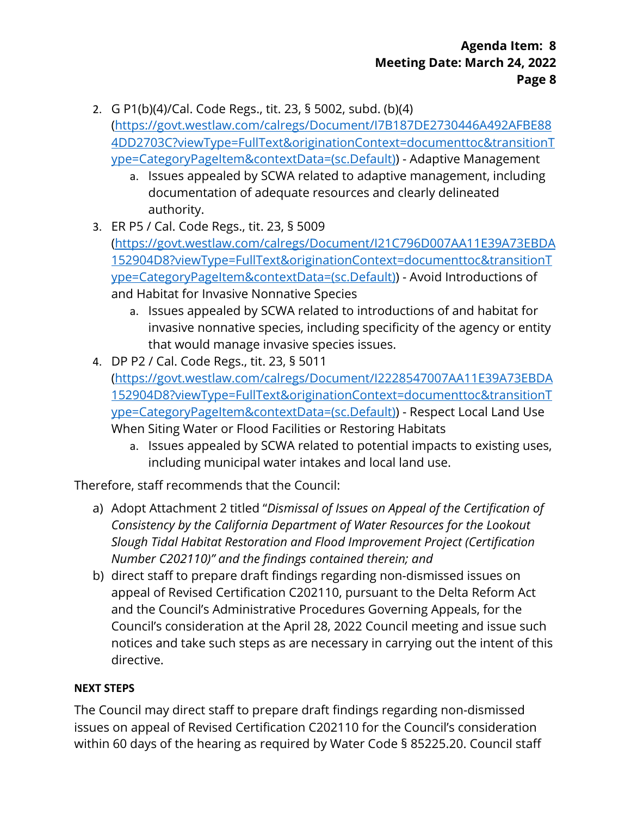- 2. G P1(b)(4)/Cal. Code Regs., tit. 23, § 5002, subd. (b)(4) [\(https://govt.westlaw.com/calregs/Document/I7B187DE2730446A492AFBE88](https://govt.westlaw.com/calregs/Document/I7B187DE2730446A492AFBE884DD2703C?viewType=FullText&originationContext=documenttoc&transitionType=CategoryPageItem&contextData=(sc.Default)) [4DD2703C?viewType=FullText&originationContext=documenttoc&transitionT](https://govt.westlaw.com/calregs/Document/I7B187DE2730446A492AFBE884DD2703C?viewType=FullText&originationContext=documenttoc&transitionType=CategoryPageItem&contextData=(sc.Default)) [ype=CategoryPageItem&contextData=\(sc.Default\)\)](https://govt.westlaw.com/calregs/Document/I7B187DE2730446A492AFBE884DD2703C?viewType=FullText&originationContext=documenttoc&transitionType=CategoryPageItem&contextData=(sc.Default)) - Adaptive Management
	- a. Issues appealed by SCWA related to adaptive management, including documentation of adequate resources and clearly delineated authority.
- 3. ER P5 / Cal. Code Regs., tit. 23, § 5009 [\(https://govt.westlaw.com/calregs/Document/I21C796D007AA11E39A73EBDA](https://govt.westlaw.com/calregs/Document/I21C796D007AA11E39A73EBDA152904D8?viewType=FullText&originationContext=documenttoc&transitionType=CategoryPageItem&contextData=(sc.Default)) [152904D8?viewType=FullText&originationContext=documenttoc&transitionT](https://govt.westlaw.com/calregs/Document/I21C796D007AA11E39A73EBDA152904D8?viewType=FullText&originationContext=documenttoc&transitionType=CategoryPageItem&contextData=(sc.Default)) [ype=CategoryPageItem&contextData=\(sc.Default\)\)](https://govt.westlaw.com/calregs/Document/I21C796D007AA11E39A73EBDA152904D8?viewType=FullText&originationContext=documenttoc&transitionType=CategoryPageItem&contextData=(sc.Default)) - Avoid Introductions of and Habitat for Invasive Nonnative Species
	- a. Issues appealed by SCWA related to introductions of and habitat for invasive nonnative species, including specificity of the agency or entity that would manage invasive species issues.
- 4. DP P2 / Cal. Code Regs., tit. 23, § 5011 [\(https://govt.westlaw.com/calregs/Document/I2228547007AA11E39A73EBDA](https://govt.westlaw.com/calregs/Document/I2228547007AA11E39A73EBDA152904D8?viewType=FullText&originationContext=documenttoc&transitionType=CategoryPageItem&contextData=(sc.Default)) [152904D8?viewType=FullText&originationContext=documenttoc&transitionT](https://govt.westlaw.com/calregs/Document/I2228547007AA11E39A73EBDA152904D8?viewType=FullText&originationContext=documenttoc&transitionType=CategoryPageItem&contextData=(sc.Default)) [ype=CategoryPageItem&contextData=\(sc.Default\)\)](https://govt.westlaw.com/calregs/Document/I2228547007AA11E39A73EBDA152904D8?viewType=FullText&originationContext=documenttoc&transitionType=CategoryPageItem&contextData=(sc.Default)) - Respect Local Land Use When Siting Water or Flood Facilities or Restoring Habitats
	- a. Issues appealed by SCWA related to potential impacts to existing uses, including municipal water intakes and local land use.

Therefore, staff recommends that the Council:

- a) Adopt Attachment 2 titled "*Dismissal of Issues on Appeal of the Certification of Consistency by the California Department of Water Resources for the Lookout Slough Tidal Habitat Restoration and Flood Improvement Project (Certification Number C202110)" and the findings contained therein; and*
- b) direct staff to prepare draft findings regarding non-dismissed issues on appeal of Revised Certification C202110, pursuant to the Delta Reform Act and the Council's Administrative Procedures Governing Appeals, for the Council's consideration at the April 28, 2022 Council meeting and issue such notices and take such steps as are necessary in carrying out the intent of this directive.

## **NEXT STEPS**

The Council may direct staff to prepare draft findings regarding non-dismissed issues on appeal of Revised Certification C202110 for the Council's consideration within 60 days of the hearing as required by Water Code § 85225.20. Council staff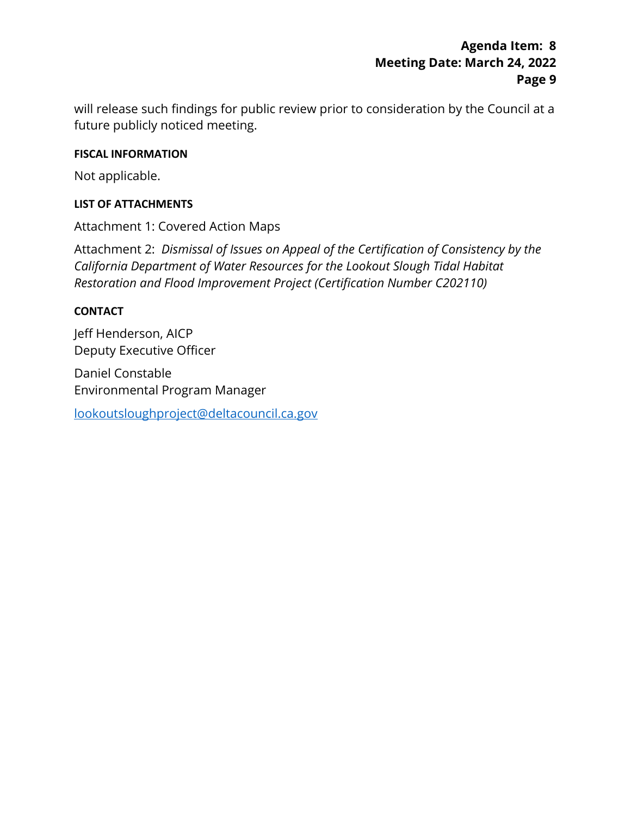will release such findings for public review prior to consideration by the Council at a future publicly noticed meeting.

#### **FISCAL INFORMATION**

Not applicable.

#### **LIST OF ATTACHMENTS**

Attachment 1: Covered Action Maps

Attachment 2: *Dismissal of Issues on Appeal of the Certification of Consistency by the California Department of Water Resources for the Lookout Slough Tidal Habitat Restoration and Flood Improvement Project (Certification Number C202110)*

#### **CONTACT**

Jeff Henderson, AICP Deputy Executive Officer

Daniel Constable Environmental Program Manager

[lookoutsloughproject@deltacouncil.ca.gov](mailto:lookoutsloughproject@deltacouncil.ca.gov)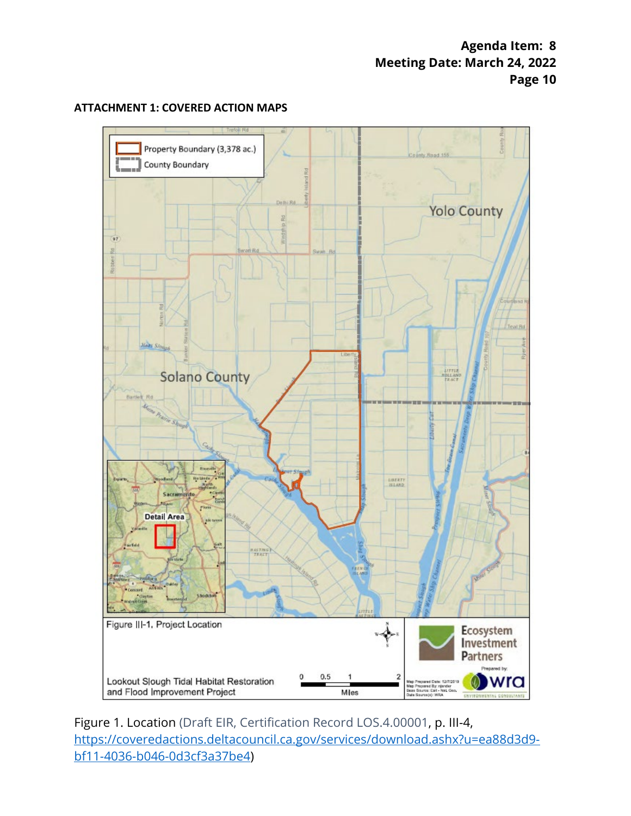

#### **ATTACHMENT 1: COVERED ACTION MAPS**

Figure 1. Location (Draft EIR, Certification Record LOS.4.00001, p. III-4, [https://coveredactions.deltacouncil.ca.gov/services/download.ashx?u=ea88d3d9](https://coveredactions.deltacouncil.ca.gov/services/download.ashx?u=ea88d3d9-bf11-4036-b046-0d3cf3a37be4) [bf11-4036-b046-0d3cf3a37be4\)](https://coveredactions.deltacouncil.ca.gov/services/download.ashx?u=ea88d3d9-bf11-4036-b046-0d3cf3a37be4)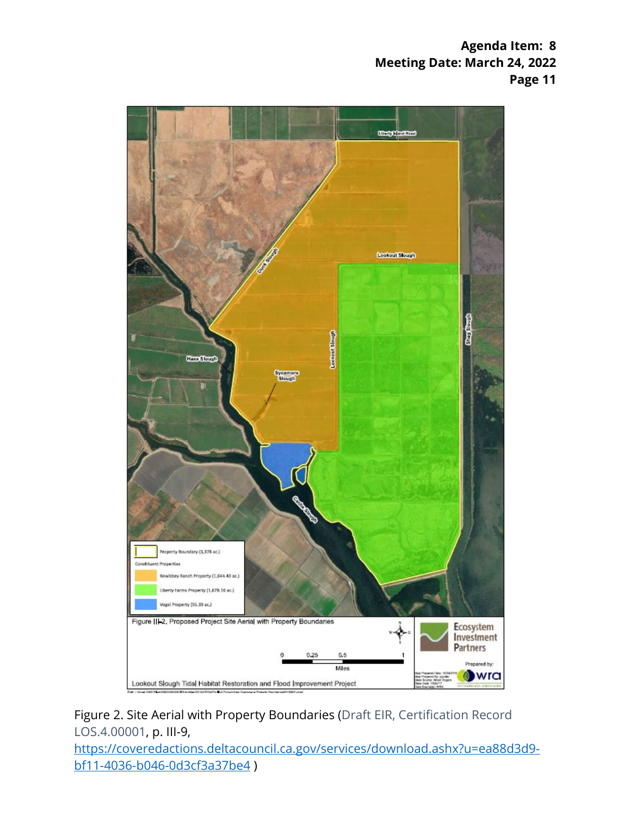

Figure 2. Site Aerial with Property Boundaries (Draft EIR, Certification Record LOS.4.00001, p. III-9,

[https://coveredactions.deltacouncil.ca.gov/services/download.ashx?u=ea88d3d9](https://coveredactions.deltacouncil.ca.gov/services/download.ashx?u=ea88d3d9-bf11-4036-b046-0d3cf3a37be4) [bf11-4036-b046-0d3cf3a37be4](https://coveredactions.deltacouncil.ca.gov/services/download.ashx?u=ea88d3d9-bf11-4036-b046-0d3cf3a37be4) )